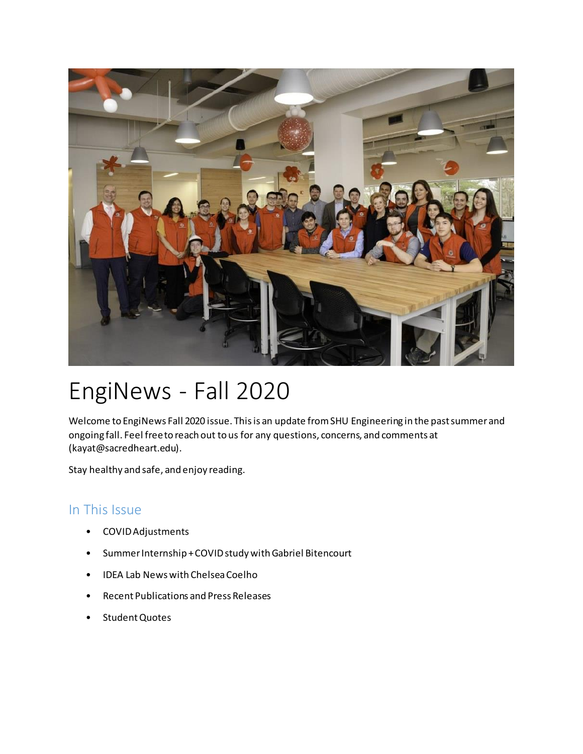

# EngiNews - Fall 2020

Welcome to EngiNews Fall 2020 issue. This is an update from SHU Engineering in the past summer and ongoing fall. Feel free to reach out to us for any questions, concerns, and comments at (kayat@sacredheart.edu).

Stay healthy and safe, and enjoy reading.

# In This Issue

- COVID Adjustments
- Summer Internship + COVID study with Gabriel Bitencourt
- IDEA Lab News with Chelsea Coelho
- Recent Publications and Press Releases
- Student Quotes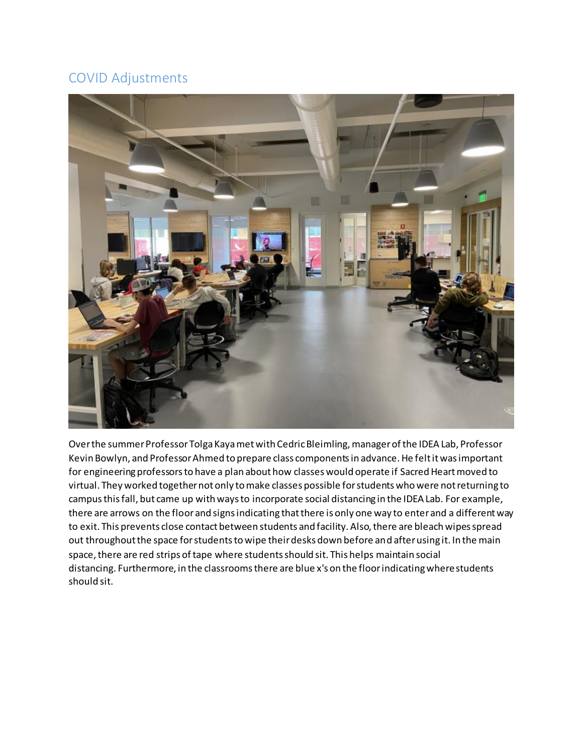## COVID Adjustments



Over the summer Professor Tolga Kaya met with Cedric Bleimling, manager of the IDEA Lab, Professor Kevin Bowlyn, and Professor Ahmed to prepare class components in advance. He felt it was important for engineering professors to have a plan about how classes would operate if Sacred Heart moved to virtual. They worked together not only to make classes possible for students who were not returning to campus this fall, but came up with ways to incorporate social distancing in the IDEA Lab. For example, there are arrows on the floor and signs indicating that there is only one way to enter and a different way to exit. This prevents close contact between students and facility. Also, there are bleach wipes spread out throughout the space for students to wipe their desks down before and after using it. In the main space, there are red strips of tape where students should sit. This helps maintain social distancing. Furthermore, in the classrooms there are blue x's on the floor indicating where students should sit.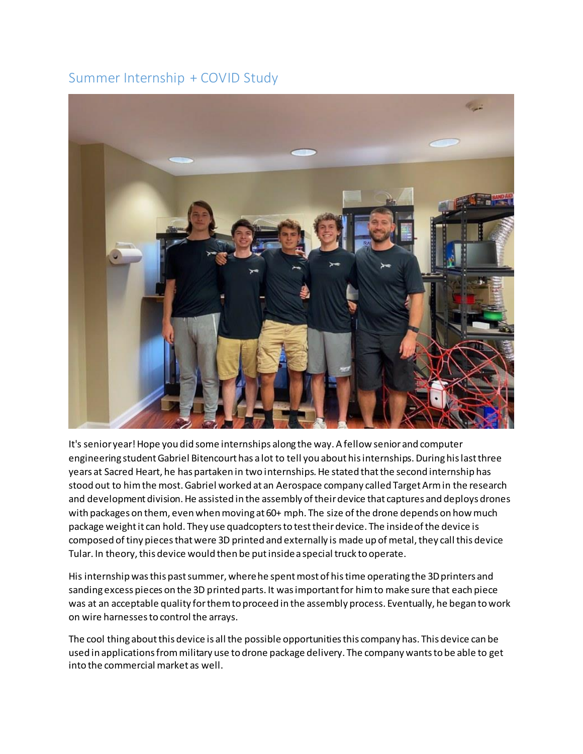## Summer Internship + COVID Study



It's senior year! Hope you did some internships along the way. A fellow senior and computer engineering student Gabriel Bitencourt has a lot to tell you about his internships. During his last three years at Sacred Heart, he has partaken in two internships. He stated that the second internship has stood out to him the most. Gabriel worked at an Aerospace company called Target Arm in the research and development division. He assisted in the assembly of their device that captures and deploys drones with packages on them, even when moving at 60+ mph. The size of the drone depends on how much package weight it can hold. They use quadcopters to test their device. The inside of the device is composed of tiny pieces that were 3D printed and externally is made up of metal, they call this device Tular. In theory, this device would then be put inside a special truck to operate.

His internship was this past summer, where he spent most of his time operating the 3D printers and sanding excess pieces on the 3D printed parts. It was important for him to make sure that each piece was at an acceptable quality for them to proceed in the assembly process. Eventually, he began to work on wire harnesses to control the arrays.

The cool thing about this device is all the possible opportunities this company has. This device can be used in applications from military use to drone package delivery. The company wants to be able to get into the commercial market as well.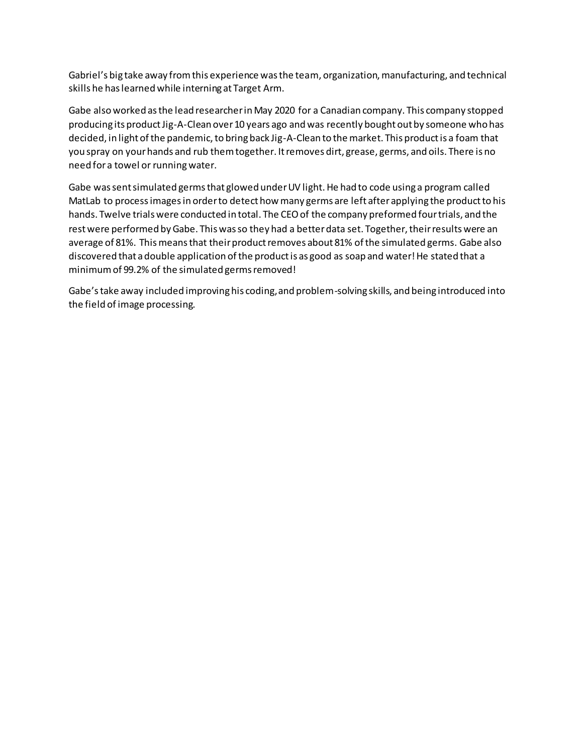Gabriel's big take away from this experience was the team, organization, manufacturing, and technical skills he has learned while interning at Target Arm.

Gabe also worked as the lead researcher in May 2020 for a Canadian company. This company stopped producing its product Jig-A-Clean over 10 years ago and was recently bought out by someone who has decided, in light of the pandemic, to bring back Jig-A-Clean to the market. This product is a foam that you spray on your hands and rub them together. It removes dirt, grease, germs, and oils. There is no need for a towel or running water.

Gabe was sent simulated germs that glowed under UV light. He had to code using a program called MatLab to process images in order to detect how many germs are left after applying the product to his hands. Twelve trials were conducted in total. The CEO of the company preformed four trials, and the rest were performed by Gabe. This was so they had a better data set. Together, their results were an average of 81%. This means that their product removes about 81% of the simulated germs. Gabe also discovered that a double application of the product is as good as soap and water! He stated that a minimum of 99.2% of the simulated germs removed!

Gabe's take away included improving his coding, and problem-solving skills, and being introduced into the field of image processing.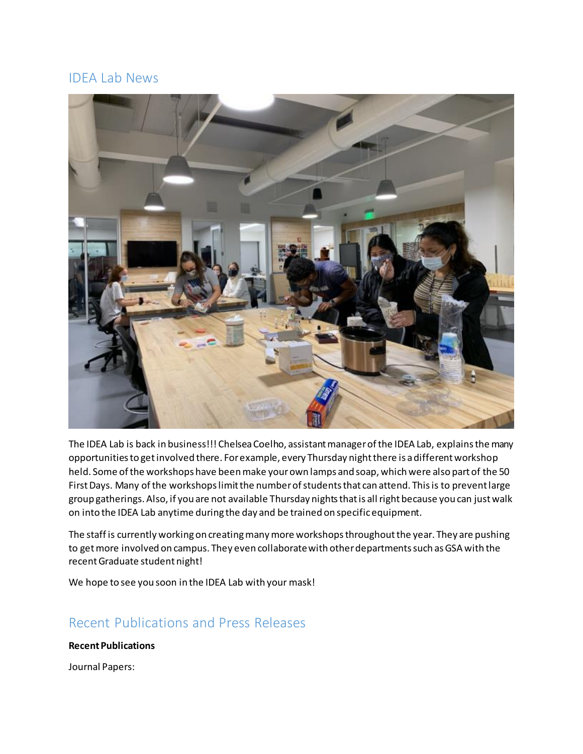## IDEA Lab News



The IDEA Lab is back in business!!! Chelsea Coelho, assistant manager of the IDEA Lab, explains the many opportunities to get involved there. For example, every Thursday night there is a different workshop held. Some of the workshops have been make your own lamps and soap, which were also part of the 50 First Days. Many of the workshops limit the number of students that can attend. This is to prevent large group gatherings. Also, if you are not available Thursday nights that is all right because you can just walk on into the IDEA Lab anytime during the day and be trained on specific equipment.

The staff is currently working on creating many more workshops throughout the year. They are pushing to get more involved on campus. They even collaborate with other departments such as GSA with the recent Graduate student night!

We hope to see you soon in the IDEA Lab with your mask!

## Recent Publications and Press Releases

## **Recent Publications**

Journal Papers: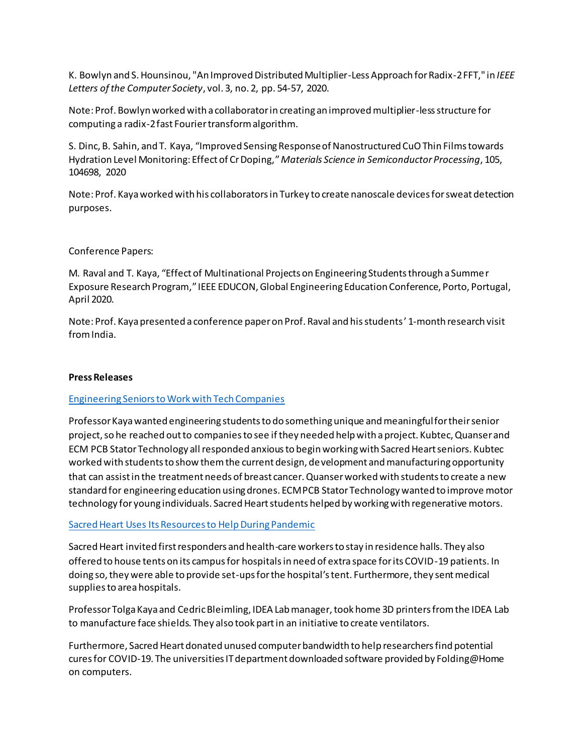K. Bowlyn and S. Hounsinou, "An Improved Distributed Multiplier-Less Approach for Radix-2 FFT," in *IEEE Letters of the Computer Society*, vol. 3, no. 2, pp. 54-57, 2020.

Note: Prof. Bowlyn worked with a collaborator in creating an improved multiplier-less structure for computing a radix-2 fast Fourier transform algorithm.

S. Dinc, B. Sahin, and T. Kaya, "Improved Sensing Response of Nanostructured CuO Thin Films towards Hydration Level Monitoring: Effect of Cr Doping,"*Materials Science in Semiconductor Processing*, 105, 104698, 2020

Note: Prof. Kaya worked with his collaborators in Turkey to create nanoscale devices for sweat detection purposes.

### Conference Papers:

M. Raval and T. Kaya, "Effect of Multinational Projects on Engineering Students through a Summer Exposure Research Program," IEEE EDUCON, Global Engineering Education Conference, Porto, Portugal, April 2020.

Note: Prof. Kaya presented a conference paper on Prof. Raval and his students' 1-month research visit from India.

#### **Press Releases**

#### [Engineering Seniors to Work with Tech Companies](https://www.sacredheart.edu/news-room/news-listing/engineering-seniors-to-work-with-tech-companies-/)

Professor Kaya wanted engineering students to do something unique and meaningful for their senior project, so he reached out to companies to see if they needed help with a project. Kubtec, Quanser and ECM PCB Stator Technology all responded anxious to begin working with Sacred Heart seniors. Kubtec worked with students to show them the current design, development and manufacturing opportunity that can assist in the treatment needs of breast cancer. Quanser worked with students to create a new standard for engineering education using drones. ECM PCB Stator Technology wanted to improve motor technology for young individuals. Sacred Heart students helped by working with regenerative motors.

#### [Sacred Heart Uses Its Resources to Help During Pandemic](https://www.sacredheart.edu/news-room/news-listing/sacred-heart-uses-its-resources-to-help-during-pandemic/)

Sacred Heart invited first responders and health-care workers to stay in residence halls. They also offered to house tents on its campus for hospitals in need of extra space for its COVID-19 patients. In doing so, they were able to provide set-ups for the hospital's tent. Furthermore, they sent medical supplies to area hospitals.

Professor Tolga Kaya and Cedric Bleimling, IDEA Lab manager, took home 3D printers from the IDEA Lab to manufacture face shields. They also took part in an initiative to create ventilators.

Furthermore, Sacred Heart donated unused computer bandwidth to help researchers find potential cures for COVID-19. The universities IT department downloaded software provided by Folding@Home on computers.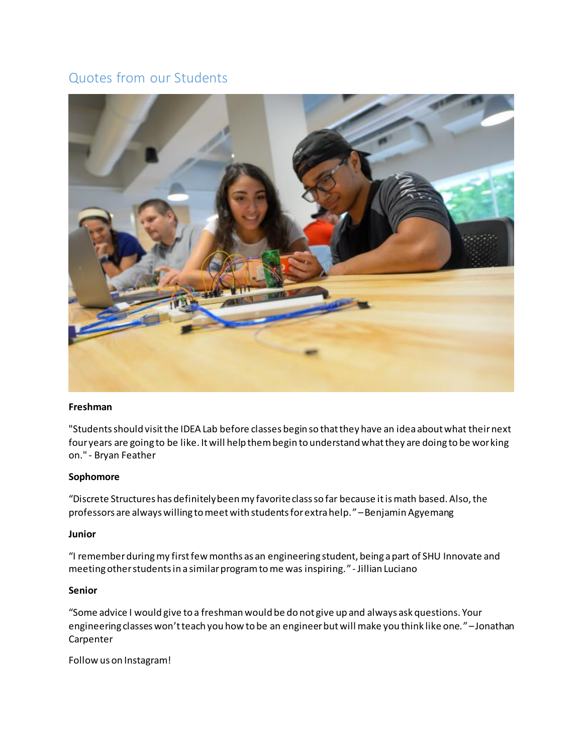## Quotes from our Students



#### **Freshman**

"Students should visit the IDEA Lab before classes begin so that they have an idea about what their next four years are going to be like. It will help them begin to understand what they are doing to be working on." - Bryan Feather

#### **Sophomore**

"Discrete Structures has definitely been my favorite class so far because it is math based. Also, the professors are always willing to meet with students for extra help."–Benjamin Agyemang

#### **Junior**

"I remember during my first few months as an engineering student, being a part of SHU Innovate and meeting other students in a similar program to me was inspiring." - Jillian Luciano

#### **Senior**

"Some advice I would give to a freshman would be do not give up and always ask questions. Your engineering classes won't teach you how to be an engineer but will make you think like one."–Jonathan Carpenter

Follow us on Instagram!